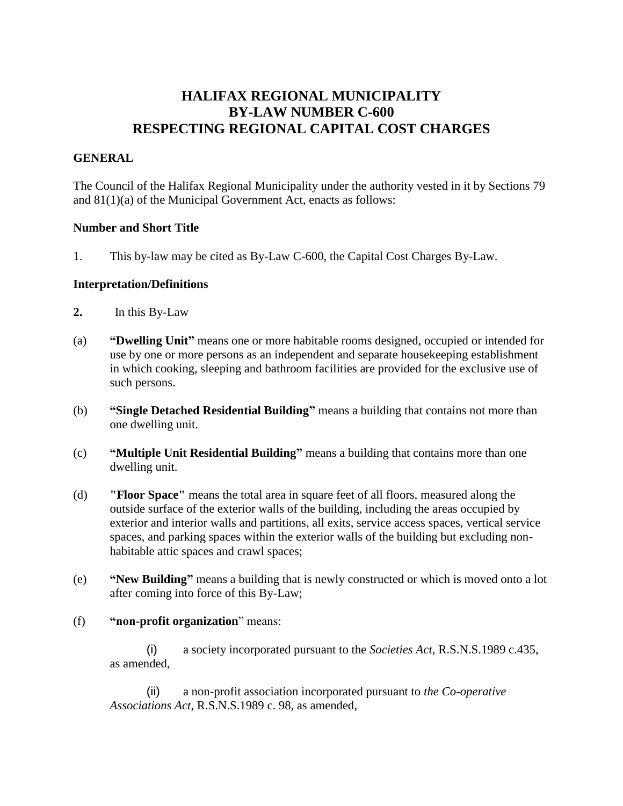# **HALIFAX REGIONAL MUNICIPALITY BY-LAW NUMBER C-600 RESPECTING REGIONAL CAPITAL COST CHARGES**

### **GENERAL**

The Council of the Halifax Regional Municipality under the authority vested in it by Sections 79 and 81(1)(a) of the Municipal Government Act, enacts as follows:

#### **Number and Short Title**

1. This by-law may be cited as By-Law C-600, the Capital Cost Charges By-Law.

#### **Interpretation/Definitions**

- **2.** In this By-Law
- (a) **"Dwelling Unit"** means one or more habitable rooms designed, occupied or intended for use by one or more persons as an independent and separate housekeeping establishment in which cooking, sleeping and bathroom facilities are provided for the exclusive use of such persons.
- (b) **"Single Detached Residential Building"** means a building that contains not more than one dwelling unit.
- (c) **"Multiple Unit Residential Building"** means a building that contains more than one dwelling unit.
- (d) **"Floor Space"** means the total area in square feet of all floors, measured along the outside surface of the exterior walls of the building, including the areas occupied by exterior and interior walls and partitions, all exits, service access spaces, vertical service spaces, and parking spaces within the exterior walls of the building but excluding nonhabitable attic spaces and crawl spaces;
- (e) **"New Building"** means a building that is newly constructed or which is moved onto a lot after coming into force of this By-Law;
- (f) **"non-profit organization**" means:
	- (i) a society incorporated pursuant to the *Societies Act,* R.S.N.S.1989 c.435, as amended,

(ii) a non-profit association incorporated pursuant to *the Co-operative Associations Act*, R.S.N.S.1989 c. 98, as amended,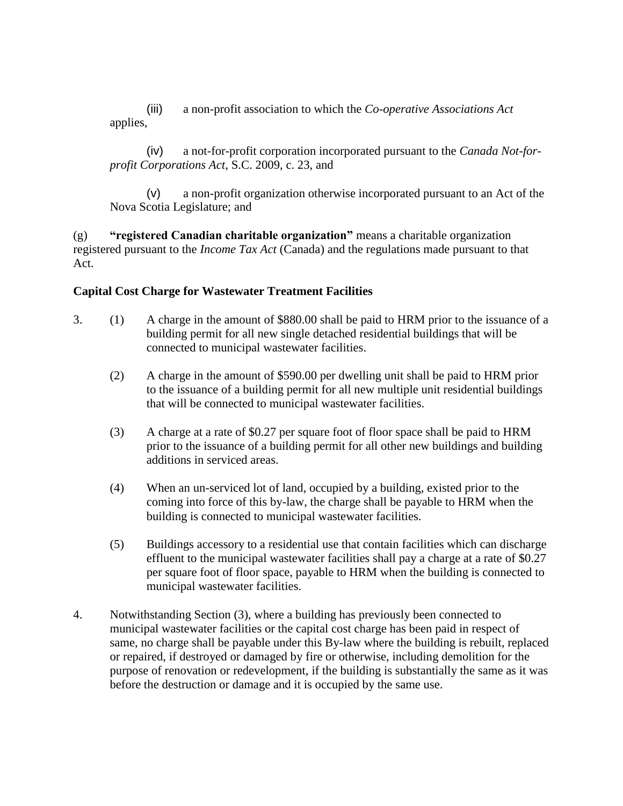(iii) a non-profit association to which the *Co-operative Associations Act* applies,

(iv) a not-for-profit corporation incorporated pursuant to the *Canada Not-forprofit Corporations Act*, S.C. 2009, c. 23, and

(v) a non-profit organization otherwise incorporated pursuant to an Act of the Nova Scotia Legislature; and

(g) **"registered Canadian charitable organization"** means a charitable organization registered pursuant to the *Income Tax Act* (Canada) and the regulations made pursuant to that Act.

## **Capital Cost Charge for Wastewater Treatment Facilities**

- 3. (1) A charge in the amount of \$880.00 shall be paid to HRM prior to the issuance of a building permit for all new single detached residential buildings that will be connected to municipal wastewater facilities.
	- (2) A charge in the amount of \$590.00 per dwelling unit shall be paid to HRM prior to the issuance of a building permit for all new multiple unit residential buildings that will be connected to municipal wastewater facilities.
	- (3) A charge at a rate of \$0.27 per square foot of floor space shall be paid to HRM prior to the issuance of a building permit for all other new buildings and building additions in serviced areas.
	- (4) When an un-serviced lot of land, occupied by a building, existed prior to the coming into force of this by-law, the charge shall be payable to HRM when the building is connected to municipal wastewater facilities.
	- (5) Buildings accessory to a residential use that contain facilities which can discharge effluent to the municipal wastewater facilities shall pay a charge at a rate of \$0.27 per square foot of floor space, payable to HRM when the building is connected to municipal wastewater facilities.
- 4. Notwithstanding Section (3), where a building has previously been connected to municipal wastewater facilities or the capital cost charge has been paid in respect of same, no charge shall be payable under this By-law where the building is rebuilt, replaced or repaired, if destroyed or damaged by fire or otherwise, including demolition for the purpose of renovation or redevelopment, if the building is substantially the same as it was before the destruction or damage and it is occupied by the same use.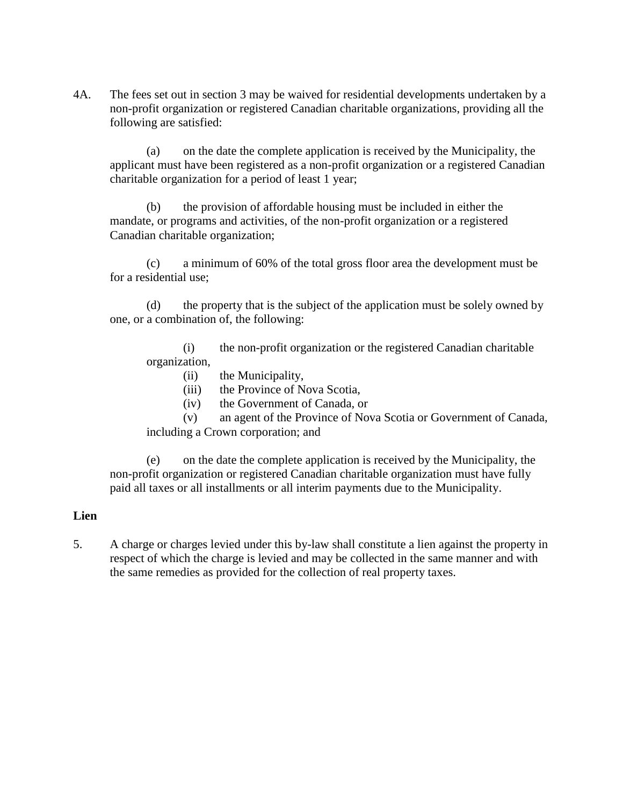4A. The fees set out in section 3 may be waived for residential developments undertaken by a non-profit organization or registered Canadian charitable organizations, providing all the following are satisfied:

(a) on the date the complete application is received by the Municipality, the applicant must have been registered as a non-profit organization or a registered Canadian charitable organization for a period of least 1 year;

(b) the provision of affordable housing must be included in either the mandate, or programs and activities, of the non-profit organization or a registered Canadian charitable organization;

(c) a minimum of 60% of the total gross floor area the development must be for a residential use;

(d) the property that is the subject of the application must be solely owned by one, or a combination of, the following:

(i) the non-profit organization or the registered Canadian charitable organization,

- (ii) the Municipality,
- (iii) the Province of Nova Scotia,
- (iv) the Government of Canada, or

(v) an agent of the Province of Nova Scotia or Government of Canada, including a Crown corporation; and

(e) on the date the complete application is received by the Municipality, the non-profit organization or registered Canadian charitable organization must have fully paid all taxes or all installments or all interim payments due to the Municipality.

#### **Lien**

5. A charge or charges levied under this by-law shall constitute a lien against the property in respect of which the charge is levied and may be collected in the same manner and with the same remedies as provided for the collection of real property taxes.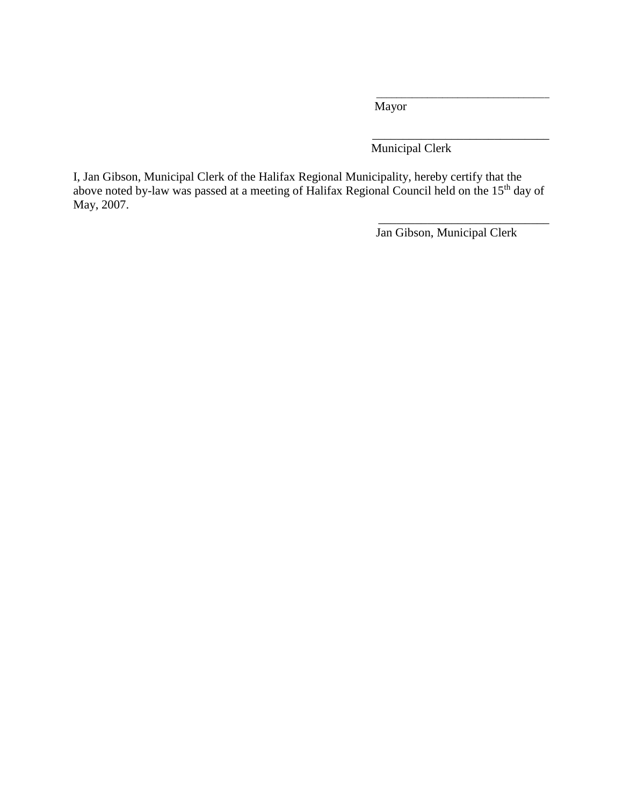Mayor

Municipal Clerk

I, Jan Gibson, Municipal Clerk of the Halifax Regional Municipality, hereby certify that the above noted by-law was passed at a meeting of Halifax Regional Council held on the 15<sup>th</sup> day of May, 2007.

Jan Gibson, Municipal Clerk

\_\_\_\_\_\_\_\_\_\_\_\_\_\_\_\_\_\_\_\_\_\_\_\_\_\_\_\_

\_\_\_\_\_\_\_\_\_\_\_\_\_\_\_\_\_\_\_\_\_\_\_\_\_\_\_\_\_\_\_\_\_\_

\_\_\_\_\_\_\_\_\_\_\_\_\_\_\_\_\_\_\_\_\_\_\_\_\_\_\_\_\_